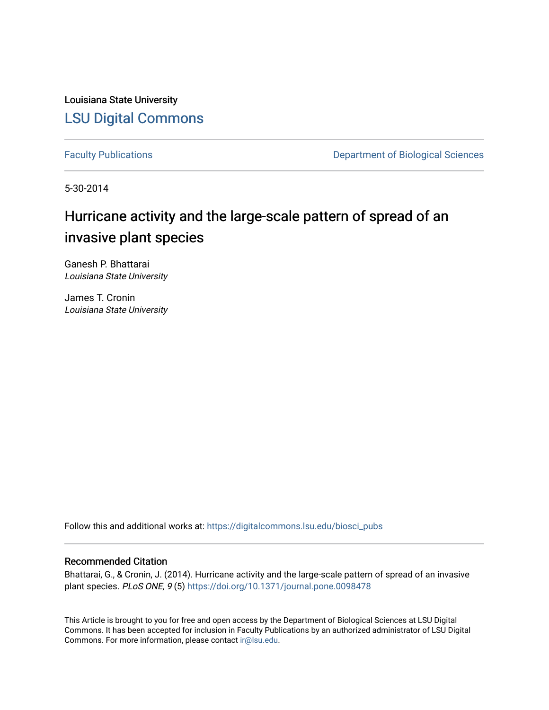Louisiana State University [LSU Digital Commons](https://digitalcommons.lsu.edu/)

[Faculty Publications](https://digitalcommons.lsu.edu/biosci_pubs) **Exercise 2 and Table 2 and Table 2 and Table 2 and Table 2 and Table 2 and Table 2 and Table 2 and Table 2 and Table 2 and Table 2 and Table 2 and Table 2 and Table 2 and Table 2 and Table 2 and Table** 

5-30-2014

# Hurricane activity and the large-scale pattern of spread of an invasive plant species

Ganesh P. Bhattarai Louisiana State University

James T. Cronin Louisiana State University

Follow this and additional works at: [https://digitalcommons.lsu.edu/biosci\\_pubs](https://digitalcommons.lsu.edu/biosci_pubs?utm_source=digitalcommons.lsu.edu%2Fbiosci_pubs%2F948&utm_medium=PDF&utm_campaign=PDFCoverPages)

## Recommended Citation

Bhattarai, G., & Cronin, J. (2014). Hurricane activity and the large-scale pattern of spread of an invasive plant species. PLoS ONE, 9 (5)<https://doi.org/10.1371/journal.pone.0098478>

This Article is brought to you for free and open access by the Department of Biological Sciences at LSU Digital Commons. It has been accepted for inclusion in Faculty Publications by an authorized administrator of LSU Digital Commons. For more information, please contact [ir@lsu.edu](mailto:ir@lsu.edu).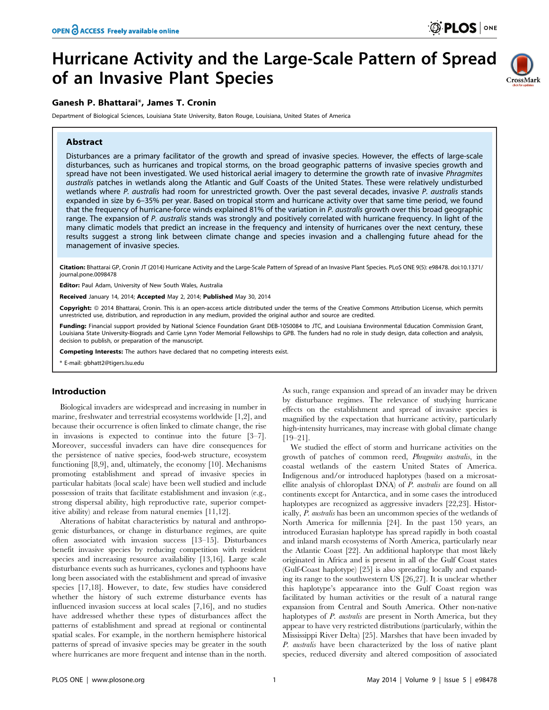## Hurricane Activity and the Large-Scale Pattern of Spread of an Invasive Plant Species

## Ganesh P. Bhattarai\*, James T. Cronin

Department of Biological Sciences, Louisiana State University, Baton Rouge, Louisiana, United States of America

### Abstract



Disturbances are a primary facilitator of the growth and spread of invasive species. However, the effects of large-scale disturbances, such as hurricanes and tropical storms, on the broad geographic patterns of invasive species growth and spread have not been investigated. We used historical aerial imagery to determine the growth rate of invasive Phragmites australis patches in wetlands along the Atlantic and Gulf Coasts of the United States. These were relatively undisturbed wetlands where P. australis had room for unrestricted growth. Over the past several decades, invasive P. australis stands expanded in size by 6–35% per year. Based on tropical storm and hurricane activity over that same time period, we found that the frequency of hurricane-force winds explained 81% of the variation in P. australis growth over this broad geographic range. The expansion of P. australis stands was strongly and positively correlated with hurricane frequency. In light of the many climatic models that predict an increase in the frequency and intensity of hurricanes over the next century, these results suggest a strong link between climate change and species invasion and a challenging future ahead for the management of invasive species.

Citation: Bhattarai GP, Cronin JT (2014) Hurricane Activity and the Large-Scale Pattern of Spread of an Invasive Plant Species. PLoS ONE 9(5): e98478. doi:10.1371/ journal.pone.0098478

Editor: Paul Adam, University of New South Wales, Australia

Received January 14, 2014; Accepted May 2, 2014; Published May 30, 2014

Copyright: © 2014 Bhattarai, Cronin. This is an open-access article distributed under the terms of the [Creative Commons Attribution License,](http://creativecommons.org/licenses/by/4.0/) which permits unrestricted use, distribution, and reproduction in any medium, provided the original author and source are credited.

Funding: Financial support provided by National Science Foundation Grant DEB-1050084 to JTC, and Louisiana Environmental Education Commission Grant, Louisiana State University-Biograds and Carrie Lynn Yoder Memorial Fellowships to GPB. The funders had no role in study design, data collection and analysis, decision to publish, or preparation of the manuscript.

Competing Interests: The authors have declared that no competing interests exist.

\* E-mail: gbhatt2@tigers.lsu.edu

#### Introduction

Biological invaders are widespread and increasing in number in marine, freshwater and terrestrial ecosystems worldwide [1,2], and because their occurrence is often linked to climate change, the rise in invasions is expected to continue into the future [3–7]. Moreover, successful invaders can have dire consequences for the persistence of native species, food-web structure, ecosystem functioning [8,9], and, ultimately, the economy [10]. Mechanisms promoting establishment and spread of invasive species in particular habitats (local scale) have been well studied and include possession of traits that facilitate establishment and invasion (e.g., strong dispersal ability, high reproductive rate, superior competitive ability) and release from natural enemies [11,12].

Alterations of habitat characteristics by natural and anthropogenic disturbances, or change in disturbance regimes, are quite often associated with invasion success [13–15]. Disturbances benefit invasive species by reducing competition with resident species and increasing resource availability [13,16]. Large scale disturbance events such as hurricanes, cyclones and typhoons have long been associated with the establishment and spread of invasive species [17,18]. However, to date, few studies have considered whether the history of such extreme disturbance events has influenced invasion success at local scales [7,16], and no studies have addressed whether these types of disturbances affect the patterns of establishment and spread at regional or continental spatial scales. For example, in the northern hemisphere historical patterns of spread of invasive species may be greater in the south where hurricanes are more frequent and intense than in the north.

As such, range expansion and spread of an invader may be driven by disturbance regimes. The relevance of studying hurricane effects on the establishment and spread of invasive species is magnified by the expectation that hurricane activity, particularly high-intensity hurricanes, may increase with global climate change [19–21].

We studied the effect of storm and hurricane activities on the growth of patches of common reed, Phragmites australis, in the coastal wetlands of the eastern United States of America. Indigenous and/or introduced haplotypes (based on a microsatellite analysis of chloroplast DNA) of P. australis are found on all continents except for Antarctica, and in some cases the introduced haplotypes are recognized as aggressive invaders [22,23]. Historically, P. australis has been an uncommon species of the wetlands of North America for millennia [24]. In the past 150 years, an introduced Eurasian haplotype has spread rapidly in both coastal and inland marsh ecosystems of North America, particularly near the Atlantic Coast [22]. An additional haplotype that most likely originated in Africa and is present in all of the Gulf Coast states (Gulf-Coast haplotype) [25] is also spreading locally and expanding its range to the southwestern US [26,27]. It is unclear whether this haplotype's appearance into the Gulf Coast region was facilitated by human activities or the result of a natural range expansion from Central and South America. Other non-native haplotypes of *P. australis* are present in North America, but they appear to have very restricted distributions (particularly, within the Mississippi River Delta) [25]. Marshes that have been invaded by P. australis have been characterized by the loss of native plant species, reduced diversity and altered composition of associated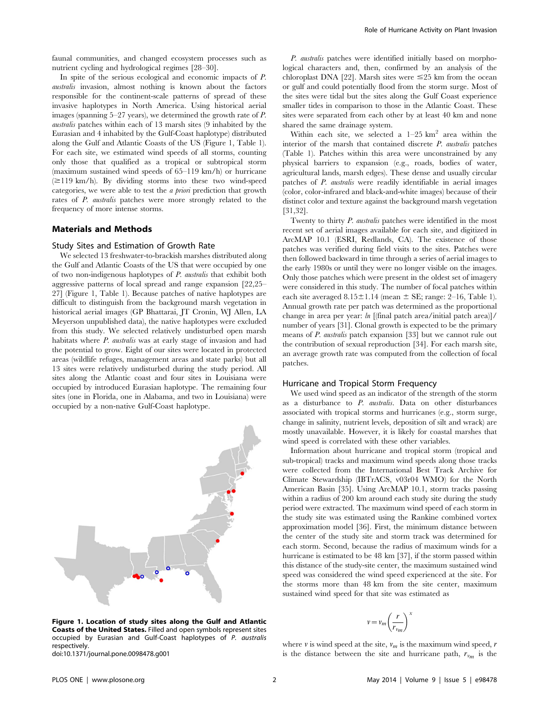faunal communities, and changed ecosystem processes such as nutrient cycling and hydrological regimes [28–30].

In spite of the serious ecological and economic impacts of P. australis invasion, almost nothing is known about the factors responsible for the continent-scale patterns of spread of these invasive haplotypes in North America. Using historical aerial images (spanning 5–27 years), we determined the growth rate of P. australis patches within each of 13 marsh sites (9 inhabited by the Eurasian and 4 inhabited by the Gulf-Coast haplotype) distributed along the Gulf and Atlantic Coasts of the US (Figure 1, Table 1). For each site, we estimated wind speeds of all storms, counting only those that qualified as a tropical or subtropical storm (maximum sustained wind speeds of 65–119 km/h) or hurricane  $(\geq 119 \text{ km/h})$ . By dividing storms into these two wind-speed categories, we were able to test the a priori prediction that growth rates of P. australis patches were more strongly related to the frequency of more intense storms.

#### Materials and Methods

#### Study Sites and Estimation of Growth Rate

We selected 13 freshwater-to-brackish marshes distributed along the Gulf and Atlantic Coasts of the US that were occupied by one of two non-indigenous haplotypes of P. australis that exhibit both aggressive patterns of local spread and range expansion [22,25– 27] (Figure 1, Table 1). Because patches of native haplotypes are difficult to distinguish from the background marsh vegetation in historical aerial images (GP Bhattarai, JT Cronin, WJ Allen, LA Meyerson unpublished data), the native haplotypes were excluded from this study. We selected relatively undisturbed open marsh habitats where P. australis was at early stage of invasion and had the potential to grow. Eight of our sites were located in protected areas (wildlife refuges, management areas and state parks) but all 13 sites were relatively undisturbed during the study period. All sites along the Atlantic coast and four sites in Louisiana were occupied by introduced Eurasian haplotype. The remaining four sites (one in Florida, one in Alabama, and two in Louisiana) were occupied by a non-native Gulf-Coast haplotype.



Figure 1. Location of study sites along the Gulf and Atlantic Coasts of the United States. Filled and open symbols represent sites occupied by Eurasian and Gulf-Coast haplotypes of P. australis respectively.

doi:10.1371/journal.pone.0098478.g001

P. australis patches were identified initially based on morphological characters and, then, confirmed by an analysis of the chloroplast DNA [22]. Marsh sites were  $\leq$ 25 km from the ocean or gulf and could potentially flood from the storm surge. Most of the sites were tidal but the sites along the Gulf Coast experience smaller tides in comparison to those in the Atlantic Coast. These sites were separated from each other by at least 40 km and none shared the same drainage system.

Within each site, we selected a  $1-25$  km<sup>2</sup> area within the interior of the marsh that contained discrete P. australis patches (Table 1). Patches within this area were unconstrained by any physical barriers to expansion (e.g., roads, bodies of water, agricultural lands, marsh edges). These dense and usually circular patches of P. australis were readily identifiable in aerial images (color, color-infrared and black-and-white images) because of their distinct color and texture against the background marsh vegetation [31,32].

Twenty to thirty P. australis patches were identified in the most recent set of aerial images available for each site, and digitized in ArcMAP 10.1 (ESRI, Redlands, CA). The existence of those patches was verified during field visits to the sites. Patches were then followed backward in time through a series of aerial images to the early 1980s or until they were no longer visible on the images. Only those patches which were present in the oldest set of imagery were considered in this study. The number of focal patches within each site averaged  $8.15 \pm 1.14$  (mean  $\pm$  SE; range: 2–16, Table 1). Annual growth rate per patch was determined as the proportional change in area per year: ln [(final patch area/initial patch area)]/ number of years [31]. Clonal growth is expected to be the primary means of P. australis patch expansion [33] but we cannot rule out the contribution of sexual reproduction [34]. For each marsh site, an average growth rate was computed from the collection of focal patches.

#### Hurricane and Tropical Storm Frequency

We used wind speed as an indicator of the strength of the storm as a disturbance to P. australis. Data on other disturbances associated with tropical storms and hurricanes (e.g., storm surge, change in salinity, nutrient levels, deposition of silt and wrack) are mostly unavailable. However, it is likely for coastal marshes that wind speed is correlated with these other variables.

Information about hurricane and tropical storm (tropical and sub-tropical) tracks and maximum wind speeds along those tracks were collected from the International Best Track Archive for Climate Stewardship (IBTrACS, v03r04 WMO) for the North American Basin [35]. Using ArcMAP 10.1, storm tracks passing within a radius of 200 km around each study site during the study period were extracted. The maximum wind speed of each storm in the study site was estimated using the Rankine combined vortex approximation model [36]. First, the minimum distance between the center of the study site and storm track was determined for each storm. Second, because the radius of maximum winds for a hurricane is estimated to be 48 km [37], if the storm passed within this distance of the study-site center, the maximum sustained wind speed was considered the wind speed experienced at the site. For the storms more than 48 km from the site center, maximum sustained wind speed for that site was estimated as

$$
v = v_m \left(\frac{r}{r_{v_m}}\right)^x
$$

where  $v$  is wind speed at the site,  $v_m$  is the maximum wind speed,  $r$ is the distance between the site and hurricane path,  $r_{v_m}$  is the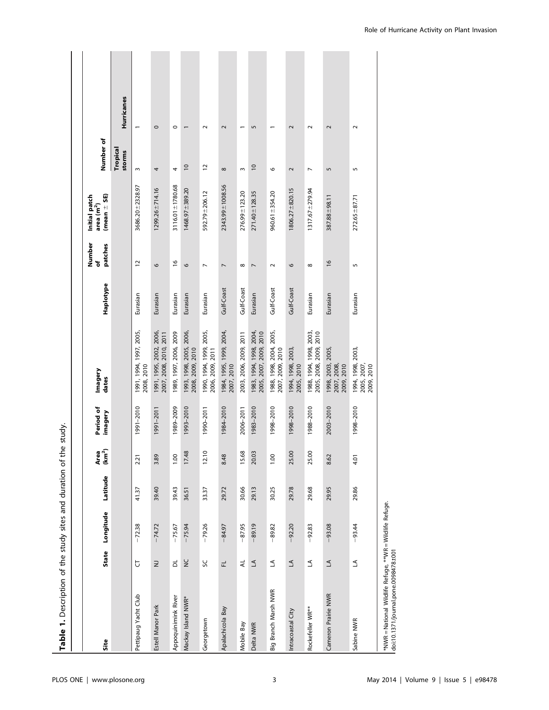|                                                                                                   |                            |           |          |                            | ,<br>None            |                                                   |            |                        |                                                          |                    |                          |
|---------------------------------------------------------------------------------------------------|----------------------------|-----------|----------|----------------------------|----------------------|---------------------------------------------------|------------|------------------------|----------------------------------------------------------|--------------------|--------------------------|
| Site                                                                                              | <b>State</b>               | Longitude | Latitude | Area<br>(km <sup>2</sup> ) | Period of<br>imagery | Imagery<br>dates                                  | Haplotype  | Number<br>patches<br>ð | $(mean = SE)$<br>Initial patch<br>area (m <sup>2</sup> ) | Number of          |                          |
|                                                                                                   |                            |           |          |                            |                      |                                                   |            |                        |                                                          | Tropical<br>storms | <b>Hurricanes</b>        |
| Pettipaug Yacht Club                                                                              | Ե                          | $-72.38$  | 41.37    | 2.21                       | 1991-2010            | 1991, 1994, 1997, 2005,<br>2008, 2010             | Eurasian   | $\overline{c}$         | $3686.20 \pm 2328.97$                                    | $\mathsf{S}$       |                          |
| Estell Manor Park                                                                                 | $\supseteq$                | $-74.72$  | 39.40    | 3.89                       | 1991-2011            | 1991, 1995, 2002, 2006,<br>2007, 2008, 2010, 2011 | Eurasian   | $\circ$                | $1299.26 \pm 714.16$                                     | 4                  | $\circ$                  |
| Appoquinimink River                                                                               | $\overrightarrow{\square}$ | $-75.67$  | 39.43    | 1.00                       | 1989-2009            | 1989, 1997, 2006, 2009                            | Eurasian   | $\frac{6}{2}$          | 3116.01±1780.68                                          | 4                  | $\circ$                  |
| Mackay Island NWR*                                                                                | $\frac{C}{Z}$              | $-75.94$  | 36.51    | 17.48                      | 1993-2010            | 1993, 1998, 2005, 2006,<br>2008, 2009, 2010       | Eurasian   | $\circ$                | $1468.97 + 389.20$                                       | $\approx$          | $\overline{ }$           |
| Georgetown                                                                                        | 50                         | $-79.26$  | 33.37    | 12.10                      | 1990-2011            | 1990, 1994, 1999, 2005,<br>2006, 2009, 2011       | Eurasian   | $\overline{ }$         | 592.79 ± 206.12                                          | $\overline{c}$     | $\sim$                   |
| Apalachicola Bay                                                                                  | 군                          | $-84.97$  | 29.72    | 8.48                       | 1984-2010            | 1984, 1995, 1999, 2004,<br>2007, 2010             | Gulf-Coast | $\overline{ }$         | 2343.99 ± 1008.56                                        | ${}^{\circ}$       | $\overline{\mathbf{c}}$  |
| Mobile Bay                                                                                        | $\preccurlyeq$             | $-87.95$  | 30.66    | 15.68                      | 2006-2011            | 2003, 2006, 2009, 2011                            | Gulf-Coast | $\infty$               | 276.99 ± 123.20                                          | $\sim$             |                          |
| Delta NWR                                                                                         | $\preceq$                  | $-89.19$  | 29.13    | 20.03                      | 1983-2010            | 1983, 1994, 1998, 2004,<br>2005, 2007, 2009, 2010 | Eurasian   | $\overline{ }$         | 271.40 ± 128.35                                          | $\overline{10}$    | 5                        |
| Big Branch Marsh NWR                                                                              | $\preceq$                  | $-89.82$  | 30.25    | 1.00                       | 1998-2010            | 1988, 1998, 2004, 2005,<br>2007, 2009, 2010       | Gulf-Coast | $\sim$                 | $960.61 \pm 354.20$                                      | $\circ$            | $\overline{\phantom{0}}$ |
| Intracoastal City                                                                                 | $\preceq$                  | $-92.20$  | 29.78    | 25.00                      | 1998-2010            | 1994, 1998, 2003,<br>2005, 2010                   | Gulf-Coast | 6                      | $1806.27 \pm 820.15$                                     | 2                  | $\sim$                   |
| Rockefeller WR**                                                                                  | $\preceq$                  | $-92.83$  | 29.68    | 25.00                      | 1988-2010            | 1988, 1994, 1998, 2003,<br>2005, 2008, 2009, 2010 | Eurasian   | $\infty$               | $1317.67 \pm 279.94$                                     | $\overline{ }$     | $\sim$                   |
| Cameron Prairie NWR                                                                               | $\leq$                     | $-93.08$  | 29.95    | 8.62                       | 2003-2010            | 1998, 2003, 2005,<br>2008,<br>2007, 2009,         | Eurasian   | $\frac{6}{2}$          | 387.88±98.11                                             | S                  | $\sim$                   |
| Sabine NWR                                                                                        | $\Delta$                   | $-93.44$  | 29.86    | 4.01                       | 1998-2010            | 1994, 1998, 2003,<br>2005, 2007,<br>2009, 2010    | Eurasian   | 5                      | $272.65 + 87.71$                                         | 5                  | $\sim$                   |
| *NWR = National Wildlife Refuge, **WR = Wildlife Refuge.<br>doi:10.1371/journal.pone.0098478.t001 |                            |           |          |                            |                      |                                                   |            |                        |                                                          |                    |                          |

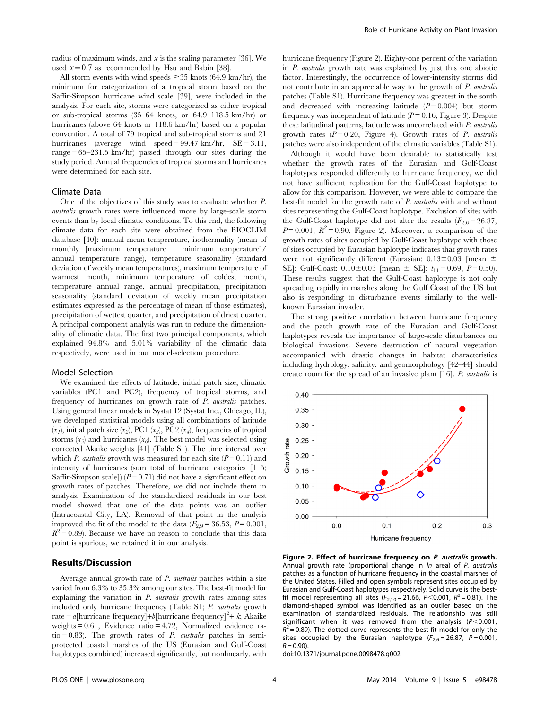radius of maximum winds, and  $x$  is the scaling parameter [36]. We used  $x=0.7$  as recommended by Hsu and Babin [38].

All storm events with wind speeds  $\geq$  35 knots (64.9 km/hr), the minimum for categorization of a tropical storm based on the Saffir-Simpson hurricane wind scale [39], were included in the analysis. For each site, storms were categorized as either tropical or sub-tropical storms (35–64 knots, or 64.9–118.5 km/hr) or hurricanes (above 64 knots or 118.6 km/hr) based on a popular convention. A total of 79 tropical and sub-tropical storms and 21 hurricanes (average wind speed = 99.47 km/hr, SE = 3.11, range  $= 65 - 231.5$  km/hr) passed through our sites during the study period. Annual frequencies of tropical storms and hurricanes were determined for each site.

#### Climate Data

One of the objectives of this study was to evaluate whether P. australis growth rates were influenced more by large-scale storm events than by local climatic conditions. To this end, the following climate data for each site were obtained from the BIOCLIM database [40]: annual mean temperature, isothermality (mean of monthly [maximum temperature – minimum temperature]/ annual temperature range), temperature seasonality (standard deviation of weekly mean temperatures), maximum temperature of warmest month, minimum temperature of coldest month, temperature annual range, annual precipitation, precipitation seasonality (standard deviation of weekly mean precipitation estimates expressed as the percentage of mean of those estimates), precipitation of wettest quarter, and precipitation of driest quarter. A principal component analysis was run to reduce the dimensionality of climatic data. The first two principal components, which explained 94.8% and 5.01% variability of the climatic data respectively, were used in our model-selection procedure.

#### Model Selection

We examined the effects of latitude, initial patch size, climatic variables (PC1 and PC2), frequency of tropical storms, and frequency of hurricanes on growth rate of P. australis patches. Using general linear models in Systat 12 (Systat Inc., Chicago, IL), we developed statistical models using all combinations of latitude  $(x_1)$ , initial patch size  $(x_2)$ , PC1  $(x_3)$ , PC2  $(x_4)$ , frequencies of tropical storms  $(x_5)$  and hurricanes  $(x_6)$ . The best model was selected using corrected Akaike weights [41] (Table S1). The time interval over which *P. australis* growth was measured for each site  $(P = 0.11)$  and intensity of hurricanes (sum total of hurricane categories [1–5; Saffir-Simpson scale])  $(P=0.71)$  did not have a significant effect on growth rates of patches. Therefore, we did not include them in analysis. Examination of the standardized residuals in our best model showed that one of the data points was an outlier (Intracoastal City, LA). Removal of that point in the analysis improved the fit of the model to the data  $(F_{2,9}= 36.53, P= 0.001,$  $R^2$  = 0.89). Because we have no reason to conclude that this data point is spurious, we retained it in our analysis.

## Results/Discussion

Average annual growth rate of P. australis patches within a site varied from 6.3% to 35.3% among our sites. The best-fit model for explaining the variation in P. australis growth rates among sites included only hurricane frequency (Table S1; P. australis growth rate = a[hurricane frequency]+b[hurricane frequency]<sup>2</sup>+ k; Akaike weights = 0.61, Evidence ratio = 4.72, Normalized evidence ratio = 0.83). The growth rates of  $P$ . australis patches in semiprotected coastal marshes of the US (Eurasian and Gulf-Coast haplotypes combined) increased significantly, but nonlinearly, with hurricane frequency (Figure 2). Eighty-one percent of the variation in P. australis growth rate was explained by just this one abiotic factor. Interestingly, the occurrence of lower-intensity storms did not contribute in an appreciable way to the growth of P. australis patches (Table S1). Hurricane frequency was greatest in the south and decreased with increasing latitude  $(P=0.004)$  but storm frequency was independent of latitude ( $P = 0.16$ , Figure 3). Despite these latitudinal patterns, latitude was uncorrelated with P. australis growth rates  $(P=0.20,$  Figure 4). Growth rates of P. australis patches were also independent of the climatic variables (Table S1).

Although it would have been desirable to statistically test whether the growth rates of the Eurasian and Gulf-Coast haplotypes responded differently to hurricane frequency, we did not have sufficient replication for the Gulf-Coast haplotype to allow for this comparison. However, we were able to compare the best-fit model for the growth rate of P. australis with and without sites representing the Gulf-Coast haplotype. Exclusion of sites with the Gulf-Coast haplotype did not alter the results  $(F_{2,6}= 26.87,$  $P=0.001$ ,  $R^2=0.90$ , Figure 2). Moreover, a comparison of the growth rates of sites occupied by Gulf-Coast haplotype with those of sites occupied by Eurasian haplotype indicates that growth rates were not significantly different (Eurasian:  $0.13\pm0.03$  [mean  $\pm$ SE]; Gulf-Coast:  $0.10 \pm 0.03$  [mean  $\pm$  SE];  $t_{11} = 0.69$ ,  $P = 0.50$ ). These results suggest that the Gulf-Coast haplotype is not only spreading rapidly in marshes along the Gulf Coast of the US but also is responding to disturbance events similarly to the wellknown Eurasian invader.

The strong positive correlation between hurricane frequency and the patch growth rate of the Eurasian and Gulf-Coast haplotypes reveals the importance of large-scale disturbances on biological invasions. Severe destruction of natural vegetation accompanied with drastic changes in habitat characteristics including hydrology, salinity, and geomorphology [42–44] should create room for the spread of an invasive plant [16]. P. australis is



Figure 2. Effect of hurricane frequency on P. australis growth. Annual growth rate (proportional change in *ln* area) of *P. australis* patches as a function of hurricane frequency in the coastal marshes of the United States. Filled and open symbols represent sites occupied by Eurasian and Gulf-Coast haplotypes respectively. Solid curve is the bestfit model representing all sites ( $F_{2,10} = 21.66$ , P<0.001, R<sup>2</sup> = 0.81). The diamond-shaped symbol was identified as an outlier based on the examination of standardized residuals. The relationship was still significant when it was removed from the analysis ( $P<0.001$ ,  $R^2$  = 0.89). The dotted curve represents the best-fit model for only the sites occupied by the Eurasian haplotype  $(F_{2,6} = 26.87, P = 0.001,$  $R = 0.90$ ).

doi:10.1371/journal.pone.0098478.g002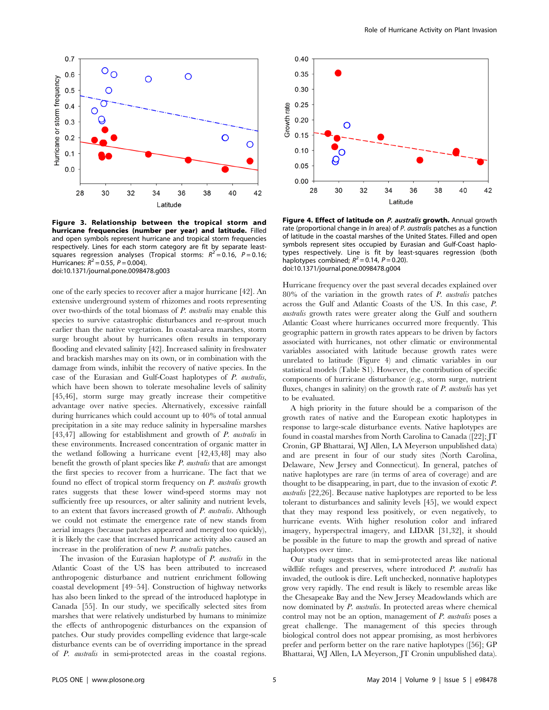

Figure 3. Relationship between the tropical storm and hurricane frequencies (number per year) and latitude. Filled and open symbols represent hurricane and tropical storm frequencies respectively. Lines for each storm category are fit by separate leastsquares regression analyses (Tropical storms:  $R^2 = 0.16$ ,  $P = 0.16$ ; Hurricanes:  $R^2 = 0.55$ ,  $P = 0.004$ ). doi:10.1371/journal.pone.0098478.g003

one of the early species to recover after a major hurricane [42]. An extensive underground system of rhizomes and roots representing over two-thirds of the total biomass of P. australis may enable this species to survive catastrophic disturbances and re-sprout much earlier than the native vegetation. In coastal-area marshes, storm surge brought about by hurricanes often results in temporary flooding and elevated salinity [42]. Increased salinity in freshwater and brackish marshes may on its own, or in combination with the damage from winds, inhibit the recovery of native species. In the case of the Eurasian and Gulf-Coast haplotypes of P. australis, which have been shown to tolerate mesohaline levels of salinity [45,46], storm surge may greatly increase their competitive advantage over native species. Alternatively, excessive rainfall during hurricanes which could account up to 40% of total annual precipitation in a site may reduce salinity in hypersaline marshes [43,47] allowing for establishment and growth of P. australis in these environments. Increased concentration of organic matter in the wetland following a hurricane event [42,43,48] may also benefit the growth of plant species like  $P$ . *australis* that are amongst the first species to recover from a hurricane. The fact that we found no effect of tropical storm frequency on P. australis growth rates suggests that these lower wind-speed storms may not sufficiently free up resources, or alter salinity and nutrient levels, to an extent that favors increased growth of P. australis. Although we could not estimate the emergence rate of new stands from aerial images (because patches appeared and merged too quickly), it is likely the case that increased hurricane activity also caused an increase in the proliferation of new P. australis patches.

The invasion of the Eurasian haplotype of P. australis in the Atlantic Coast of the US has been attributed to increased anthropogenic disturbance and nutrient enrichment following coastal development [49–54]. Construction of highway networks has also been linked to the spread of the introduced haplotype in Canada [55]. In our study, we specifically selected sites from marshes that were relatively undisturbed by humans to minimize the effects of anthropogenic disturbances on the expansion of patches. Our study provides compelling evidence that large-scale disturbance events can be of overriding importance in the spread of P. australis in semi-protected areas in the coastal regions.



Figure 4. Effect of latitude on P. australis growth. Annual growth rate (proportional change in *ln* area) of *P. australis* patches as a function of latitude in the coastal marshes of the United States. Filled and open symbols represent sites occupied by Eurasian and Gulf-Coast haplotypes respectively. Line is fit by least-squares regression (both haplotypes combined;  $R^2 = 0.14$ ,  $P = 0.20$ ). doi:10.1371/journal.pone.0098478.g004

Hurricane frequency over the past several decades explained over  $80\%$  of the variation in the growth rates of  $P$ . *australis* patches across the Gulf and Atlantic Coasts of the US. In this case, P. australis growth rates were greater along the Gulf and southern Atlantic Coast where hurricanes occurred more frequently. This geographic pattern in growth rates appears to be driven by factors associated with hurricanes, not other climatic or environmental variables associated with latitude because growth rates were unrelated to latitude (Figure 4) and climatic variables in our statistical models (Table S1). However, the contribution of specific components of hurricane disturbance (e.g., storm surge, nutrient fluxes, changes in salinity) on the growth rate of  $P$ . australis has yet to be evaluated.

A high priority in the future should be a comparison of the growth rates of native and the European exotic haplotypes in response to large-scale disturbance events. Native haplotypes are found in coastal marshes from North Carolina to Canada ([22]; JT Cronin, GP Bhattarai, WJ Allen, LA Meyerson unpublished data) and are present in four of our study sites (North Carolina, Delaware, New Jersey and Connecticut). In general, patches of native haplotypes are rare (in terms of area of coverage) and are thought to be disappearing, in part, due to the invasion of exotic P. australis [22,26]. Because native haplotypes are reported to be less tolerant to disturbances and salinity levels [45], we would expect that they may respond less positively, or even negatively, to hurricane events. With higher resolution color and infrared imagery, hyperspectral imagery, and LIDAR [31,32], it should be possible in the future to map the growth and spread of native haplotypes over time.

Our study suggests that in semi-protected areas like national wildlife refuges and preserves, where introduced P. australis has invaded, the outlook is dire. Left unchecked, nonnative haplotypes grow very rapidly. The end result is likely to resemble areas like the Chesapeake Bay and the New Jersey Meadowlands which are now dominated by P. australis. In protected areas where chemical control may not be an option, management of P. australis poses a great challenge. The management of this species through biological control does not appear promising, as most herbivores prefer and perform better on the rare native haplotypes ([56]; GP Bhattarai, WJ Allen, LA Meyerson, JT Cronin unpublished data).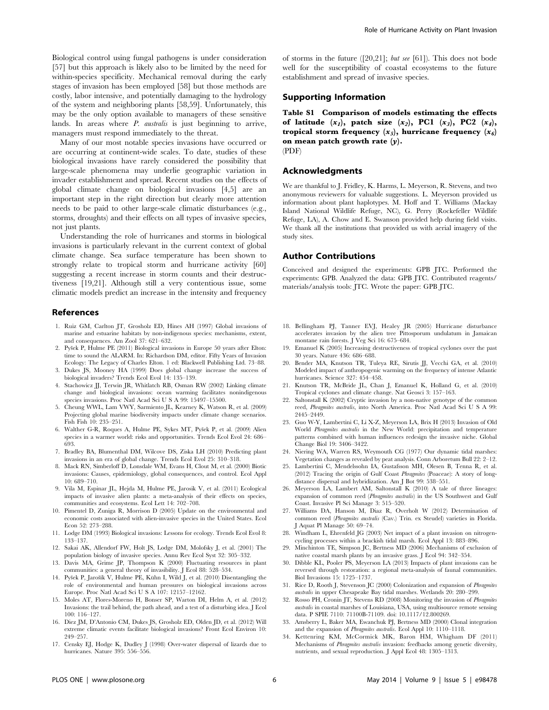Biological control using fungal pathogens is under consideration [57] but this approach is likely also to be limited by the need for within-species specificity. Mechanical removal during the early stages of invasion has been employed [58] but those methods are costly, labor intensive, and potentially damaging to the hydrology of the system and neighboring plants [58,59]. Unfortunately, this may be the only option available to managers of these sensitive lands. In areas where *P. australis* is just beginning to arrive, managers must respond immediately to the threat.

Many of our most notable species invasions have occurred or are occurring at continent-wide scales. To date, studies of these biological invasions have rarely considered the possibility that large-scale phenomena may underlie geographic variation in invader establishment and spread. Recent studies on the effects of global climate change on biological invasions [4,5] are an important step in the right direction but clearly more attention needs to be paid to other large-scale climatic disturbances (e.g., storms, droughts) and their effects on all types of invasive species, not just plants.

Understanding the role of hurricanes and storms in biological invasions is particularly relevant in the current context of global climate change. Sea surface temperature has been shown to strongly relate to tropical storm and hurricane activity [60] suggesting a recent increase in storm counts and their destructiveness [19,21]. Although still a very contentious issue, some climatic models predict an increase in the intensity and frequency

#### References

- 1. Ruiz GM, Carlton JT, Grosholz ED, Hines AH (1997) Global invasions of marine and estuarine habitats by non-indigenous species: mechanisms, extent, and consequences. Am Zool 37: 621–632.
- 2. Pyšek P, Hulme PE (2011) Biological invasions in Europe 50 years after Elton: time to sound the ALARM. In: Richardson DM, editor. Fifty Years of Invasion Ecology: The Legacy of Charles Elton. 1 ed: Blackwell Publishing Ltd. 73–88.
- 3. Dukes JS, Mooney HA (1999) Does global change increase the success of biological invaders? Trends Ecol Evol 14: 135–139.
- 4. Stachowicz JJ, Terwin JR, Whitlatch RB, Osman RW (2002) Linking climate change and biological invasions: ocean warming facilitates nonindigenous species invasions. Proc Natl Acad Sci U S A 99: 15497–15500.
- 5. Cheung WWL, Lam VWY, Sarmiento JL, Kearney K, Watson R, et al. (2009) Projecting global marine biodiversity impacts under climate change scenarios. Fish Fish 10: 235–251.
- 6. Walther G-R, Roques A, Hulme PE, Sykes MT, Pyšek P, et al. (2009) Alien species in a warmer world: risks and opportunities. Trends Ecol Evol 24: 686– 693.
- 7. Bradley BA, Blumenthal DM, Wilcove DS, Ziska LH (2010) Predicting plant invasions in an era of global change. Trends Ecol Evol 25: 310–318.
- 8. Mack RN, Simberloff D, Lonsdale WM, Evans H, Clout M, et al. (2000) Biotic invasions: Causes, epidemiology, global consequences, and control. Ecol Appl 10: 689–710.
- 9. Vila M, Espinar JL, Hejda M, Hulme PE, Jarosik V, et al. (2011) Ecological impacts of invasive alien plants: a meta-analysis of their effects on species, communities and ecosystems. Ecol Lett 14: 702–708.
- 10. Pimentel D, Zuniga R, Morrison D (2005) Update on the environmental and economic costs associated with alien-invasive species in the United States. Ecol Econ 52: 273–288.
- 11. Lodge DM (1993) Biological invasions: Lessons for ecology. Trends Ecol Evol 8: 133–137.
- 12. Sakai AK, Allendorf FW, Holt JS, Lodge DM, Molofsky J, et al. (2001) The population biology of invasive species. Annu Rev Ecol Syst 32: 305–332.
- 13. Davis MA, Grime JP, Thompson K (2000) Fluctuating resources in plant communities: a general theory of invasibility. J Ecol 88: 528–534.
- 14. Pyšek P, Jarošík V, Hulme PE, Kühn I, Wild J, et al. (2010) Disentangling the role of environmental and human pressures on biological invasions across Europe. Proc Natl Acad Sci U S A 107: 12157–12162.
- 15. Moles AT, Flores-Moreno H, Bonser SP, Warton DI, Helm A, et al. (2012) Invasions: the trail behind, the path ahead, and a test of a disturbing idea. J Ecol 100: 116–127.
- 16. Diez JM, D'Antonio CM, Dukes JS, Grosholz ED, Olden JD, et al. (2012) Will extreme climatic events facilitate biological invasions? Front Ecol Environ 10: 249–257. 17. Censky EJ, Hodge K, Dudley J (1998) Over-water dispersal of lizards due to

of storms in the future ([20,21]; but see [61]). This does not bode well for the susceptibility of coastal ecosystems to the future establishment and spread of invasive species.

Role of Hurricane Activity on Plant Invasion

## Supporting Information

Table S1 Comparison of models estimating the effects of latitude  $(x_1)$ , patch size  $(x_2)$ , PC1  $(x_3)$ , PC2  $(x_4)$ , tropical storm frequency  $(x_5)$ , hurricane frequency  $(x_6)$ on mean patch growth rate  $(y)$ . (PDF)

## Acknowledgments

We are thankful to J. Fridley, K. Harms, L. Meyerson, R. Stevens, and two anonymous reviewers for valuable suggestions. L. Meyerson provided us information about plant haplotypes. M. Hoff and T. Williams (Mackay Island National Wildlife Refuge, NC), G. Perry (Rockefeller Wildlife Refuge, LA), A. Chow and E. Swanson provided help during field visits. We thank all the institutions that provided us with aerial imagery of the study sites.

### Author Contributions

Conceived and designed the experiments: GPB JTC. Performed the experiments: GPB. Analyzed the data: GPB JTC. Contributed reagents/ materials/analysis tools: JTC. Wrote the paper: GPB JTC.

- 18. Bellingham PJ, Tanner EVJ, Healey JR (2005) Hurricane disturbance accelerates invasion by the alien tree Pittosporum undulatum in Jamaican montane rain forests. J Veg Sci 16: 675–684.
- 19. Emanuel K (2005) Increasing destructiveness of tropical cyclones over the past 30 years. Nature 436: 686–688.
- 20. Bender MA, Knutson TR, Tuleya RE, Sirutis JJ, Vecchi GA, et al. (2010) Modeled impact of anthropogenic warming on the frequency of intense Atlantic hurricanes. Science 327: 454–458.
- 21. Knutson TR, McBride JL, Chan J, Emanuel K, Holland G, et al. (2010) Tropical cyclones and climate change. Nat Geosci 3: 157–163.
- 22. Saltonstall K (2002) Cryptic invasion by a non-native genotype of the common reed, Phragmites australis, into North America. Proc Natl Acad Sci U S A 99: 2445–2449.
- 23. Guo W-Y, Lambertini C, Li X-Z, Meyerson LA, Brix H (2013) Invasion of Old World Phragmites australis in the New World: precipitation and temperature patterns combined with human influences redesign the invasive niche. Global Change Biol 19: 3406–3422.
- 24. Niering WA, Warren RS, Weymouth CG (1977) Our dynamic tidal marshes: Vegetation changes as revealed by peat analysis. Conn Arboretum Bull 22: 2–12.
- 25. Lambertini C, Mendelssohn IA, Gustafsson MH, Olesen B, Tenna R, et al. (2012) Tracing the origin of Gulf Coast Phragmites (Poaceae): A story of longdistance dispersal and hybridization. Am J Bot 99: 538–551.
- 26. Meyerson LA, Lambert AM, Saltonstall K (2010) A tale of three lineages: expansion of common reed (Phragmites australis) in the US Southwest and Gulf Coast. Invasive Pl Sci Manage 3: 515–520.
- 27. Williams DA, Hanson M, Diaz R, Overholt W (2012) Determination of common reed (Phragmites australis (Cav.) Trin. ex Steudel) varieties in Florida. J Aquat Pl Manage 50: 69–74.
- 28. Windham L, Ehrenfeld JG (2003) Net impact of a plant invasion on nitrogencycling processes within a brackish tidal marsh. Ecol Appl 13: 883–896.
- 29. Minchinton TE, Simpson JC, Bertness MD (2006) Mechanisms of exclusion of native coastal marsh plants by an invasive grass. J Ecol 94: 342–354.
- 30. Dibble KL, Pooler PS, Meyerson LA (2013) Impacts of plant invasions can be reversed through restoration: a regional meta-analysis of faunal communities. Biol Invasions 15: 1725–1737.
- 31. Rice D, Rooth J, Stevenson JC (2000) Colonization and expansion of Phragmites australis in upper Chesapeake Bay tidal marshes. Wetlands 20: 280–299.
- 32. Rosso PH, Cronin JT, Stevens RD (2008) Monitoring the invasion of Phragmites australis in coastal marshes of Louisiana, USA, using multisource remote sensing data. P SPIE 7110: 71100B-71109. doi: 10.1117/12.800269.
- 33. Amsberry L, Baker MA, Ewanchuk PJ, Bertness MD (2000) Clonal integration and the expansion of Phragmites australis. Ecol Appl 10: 1110–1118.
- 34. Kettenring KM, McCormick MK, Baron HM, Whigham DF (2011) Mechanisms of Phragmites australis invasion: feedbacks among genetic diversity, nutrients, and sexual reproduction. J Appl Ecol 48: 1305–1313.

hurricanes. Nature 395: 556–556.